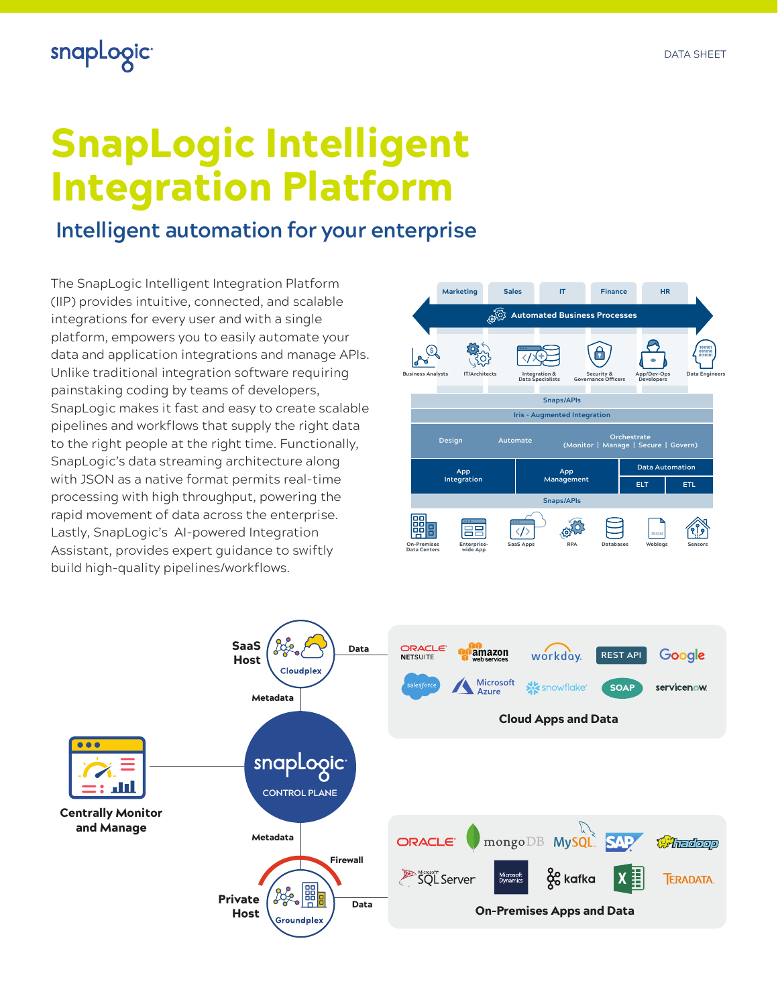## snapLogic<sup>®</sup>

# SnapLogic Intelligent Integration Platform

### **Intelligent automation for your enterprise**

The SnapLogic Intelligent Integration Platform (IIP) provides intuitive, connected, and scalable integrations for every user and with a single platform, empowers you to easily automate your data and application integrations and manage APIs. Unlike traditional integration software requiring painstaking coding by teams of developers, SnapLogic makes it fast and easy to create scalable pipelines and workflows that supply the right data to the right people at the right time. Functionally, SnapLogic's data streaming architecture along with JSON as a native format permits real-time processing with high throughput, powering the rapid movement of data across the enterprise. Lastly, SnapLogic's AI-powered Integration Assistant, provides expert guidance to swiftly build high-quality pipelines/workflows.